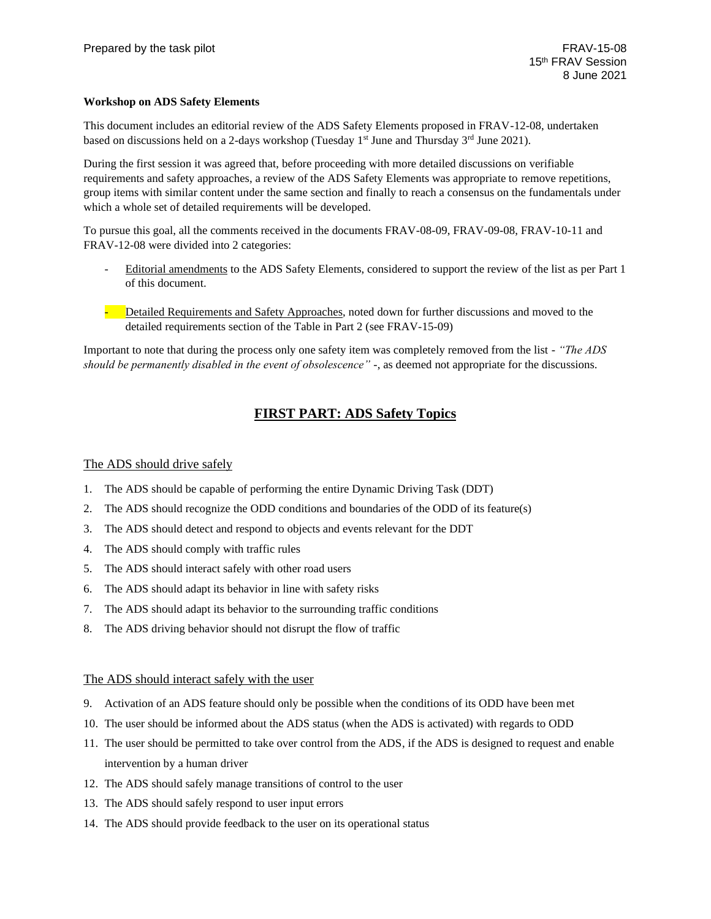### **Workshop on ADS Safety Elements**

This document includes an editorial review of the ADS Safety Elements proposed in FRAV-12-08, undertaken based on discussions held on a 2-days workshop (Tuesday  $1<sup>st</sup>$  June and Thursday  $3<sup>rd</sup>$  June 2021).

During the first session it was agreed that, before proceeding with more detailed discussions on verifiable requirements and safety approaches, a review of the ADS Safety Elements was appropriate to remove repetitions, group items with similar content under the same section and finally to reach a consensus on the fundamentals under which a whole set of detailed requirements will be developed.

To pursue this goal, all the comments received in the documents FRAV-08-09, FRAV-09-08, FRAV-10-11 and FRAV-12-08 were divided into 2 categories:

- Editorial amendments to the ADS Safety Elements, considered to support the review of the list as per Part 1 of this document.
- Detailed Requirements and Safety Approaches, noted down for further discussions and moved to the detailed requirements section of the Table in Part 2 (see FRAV-15-09)

Important to note that during the process only one safety item was completely removed from the list - *"The ADS should be permanently disabled in the event of obsolescence" -*, as deemed not appropriate for the discussions.

# **FIRST PART: ADS Safety Topics**

## The ADS should drive safely

- 1. The ADS should be capable of performing the entire Dynamic Driving Task (DDT)
- 2. The ADS should recognize the ODD conditions and boundaries of the ODD of its feature(s)
- 3. The ADS should detect and respond to objects and events relevant for the DDT
- 4. The ADS should comply with traffic rules
- 5. The ADS should interact safely with other road users
- 6. The ADS should adapt its behavior in line with safety risks
- 7. The ADS should adapt its behavior to the surrounding traffic conditions
- 8. The ADS driving behavior should not disrupt the flow of traffic

#### The ADS should interact safely with the user

- 9. Activation of an ADS feature should only be possible when the conditions of its ODD have been met
- 10. The user should be informed about the ADS status (when the ADS is activated) with regards to ODD
- 11. The user should be permitted to take over control from the ADS, if the ADS is designed to request and enable intervention by a human driver
- 12. The ADS should safely manage transitions of control to the user
- 13. The ADS should safely respond to user input errors
- 14. The ADS should provide feedback to the user on its operational status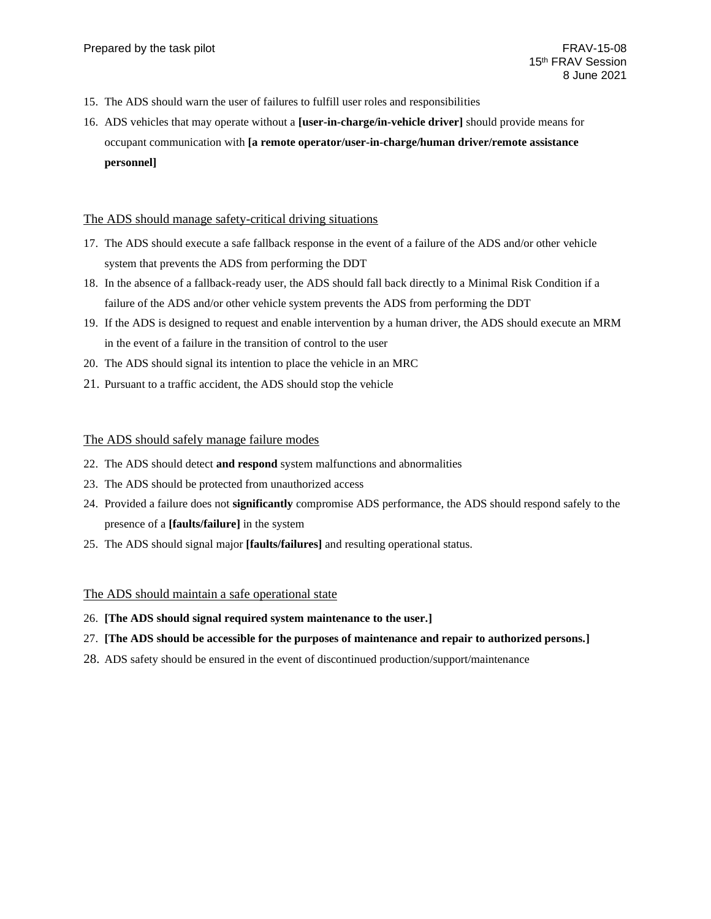- 15. The ADS should warn the user of failures to fulfill user roles and responsibilities
- 16. ADS vehicles that may operate without a **[user-in-charge/in-vehicle driver]** should provide means for occupant communication with **[a remote operator/user-in-charge/human driver/remote assistance personnel]**

#### The ADS should manage safety-critical driving situations

- 17. The ADS should execute a safe fallback response in the event of a failure of the ADS and/or other vehicle system that prevents the ADS from performing the DDT
- 18. In the absence of a fallback-ready user, the ADS should fall back directly to a Minimal Risk Condition if a failure of the ADS and/or other vehicle system prevents the ADS from performing the DDT
- 19. If the ADS is designed to request and enable intervention by a human driver, the ADS should execute an MRM in the event of a failure in the transition of control to the user
- 20. The ADS should signal its intention to place the vehicle in an MRC
- 21. Pursuant to a traffic accident, the ADS should stop the vehicle

#### The ADS should safely manage failure modes

- 22. The ADS should detect **and respond** system malfunctions and abnormalities
- 23. The ADS should be protected from unauthorized access
- 24. Provided a failure does not **significantly** compromise ADS performance, the ADS should respond safely to the presence of a **[faults/failure]** in the system
- 25. The ADS should signal major **[faults/failures]** and resulting operational status.

#### The ADS should maintain a safe operational state

- 26. **[The ADS should signal required system maintenance to the user.]**
- 27. **[The ADS should be accessible for the purposes of maintenance and repair to authorized persons.]**
- 28. ADS safety should be ensured in the event of discontinued production/support/maintenance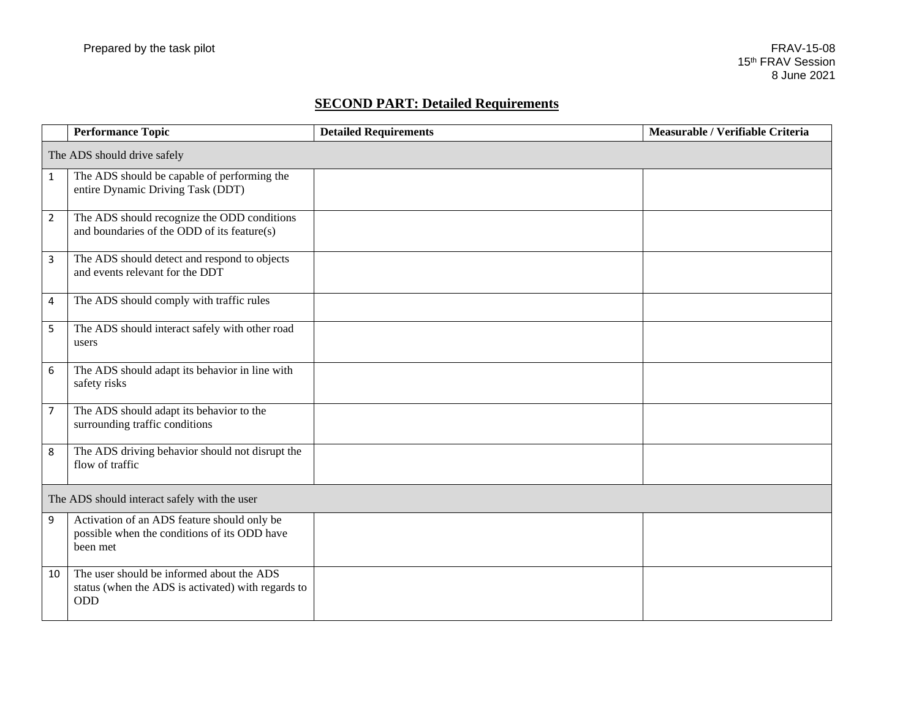# **SECOND PART: Detailed Requirements**

|                                              | <b>Performance Topic</b>                                                                                      | <b>Detailed Requirements</b> | Measurable / Verifiable Criteria |  |  |
|----------------------------------------------|---------------------------------------------------------------------------------------------------------------|------------------------------|----------------------------------|--|--|
| The ADS should drive safely                  |                                                                                                               |                              |                                  |  |  |
| $\mathbf{1}$                                 | The ADS should be capable of performing the<br>entire Dynamic Driving Task (DDT)                              |                              |                                  |  |  |
| $\overline{2}$                               | The ADS should recognize the ODD conditions<br>and boundaries of the ODD of its feature(s)                    |                              |                                  |  |  |
| 3                                            | The ADS should detect and respond to objects<br>and events relevant for the DDT                               |                              |                                  |  |  |
| 4                                            | The ADS should comply with traffic rules                                                                      |                              |                                  |  |  |
| 5                                            | The ADS should interact safely with other road<br>users                                                       |                              |                                  |  |  |
| 6                                            | The ADS should adapt its behavior in line with<br>safety risks                                                |                              |                                  |  |  |
| $\overline{7}$                               | The ADS should adapt its behavior to the<br>surrounding traffic conditions                                    |                              |                                  |  |  |
| 8                                            | The ADS driving behavior should not disrupt the<br>flow of traffic                                            |                              |                                  |  |  |
| The ADS should interact safely with the user |                                                                                                               |                              |                                  |  |  |
| 9                                            | Activation of an ADS feature should only be<br>possible when the conditions of its ODD have<br>been met       |                              |                                  |  |  |
| 10                                           | The user should be informed about the ADS<br>status (when the ADS is activated) with regards to<br><b>ODD</b> |                              |                                  |  |  |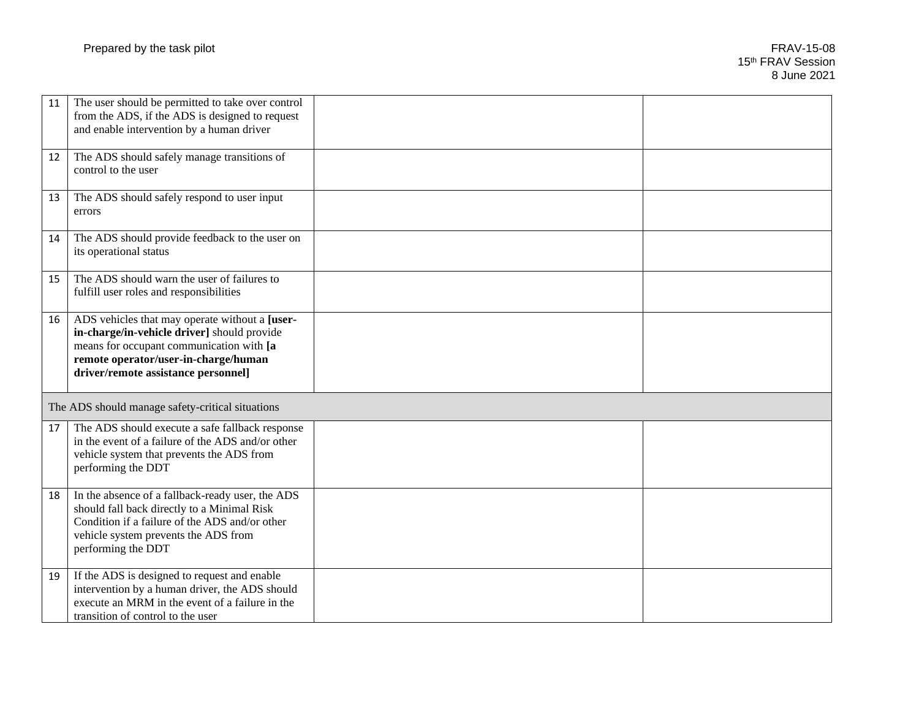| 11 | The user should be permitted to take over control<br>from the ADS, if the ADS is designed to request<br>and enable intervention by a human driver                                                                        |  |
|----|--------------------------------------------------------------------------------------------------------------------------------------------------------------------------------------------------------------------------|--|
| 12 | The ADS should safely manage transitions of<br>control to the user                                                                                                                                                       |  |
| 13 | The ADS should safely respond to user input<br>errors                                                                                                                                                                    |  |
| 14 | The ADS should provide feedback to the user on<br>its operational status                                                                                                                                                 |  |
| 15 | The ADS should warn the user of failures to<br>fulfill user roles and responsibilities                                                                                                                                   |  |
| 16 | ADS vehicles that may operate without a [user-<br>in-charge/in-vehicle driver] should provide<br>means for occupant communication with [a<br>remote operator/user-in-charge/human<br>driver/remote assistance personnel] |  |
|    | The ADS should manage safety-critical situations                                                                                                                                                                         |  |
| 17 | The ADS should execute a safe fallback response<br>in the event of a failure of the ADS and/or other<br>vehicle system that prevents the ADS from<br>performing the DDT                                                  |  |
| 18 | In the absence of a fallback-ready user, the ADS<br>should fall back directly to a Minimal Risk<br>Condition if a failure of the ADS and/or other<br>vehicle system prevents the ADS from<br>performing the DDT          |  |
| 19 | If the ADS is designed to request and enable<br>intervention by a human driver, the ADS should<br>execute an MRM in the event of a failure in the<br>transition of control to the user                                   |  |